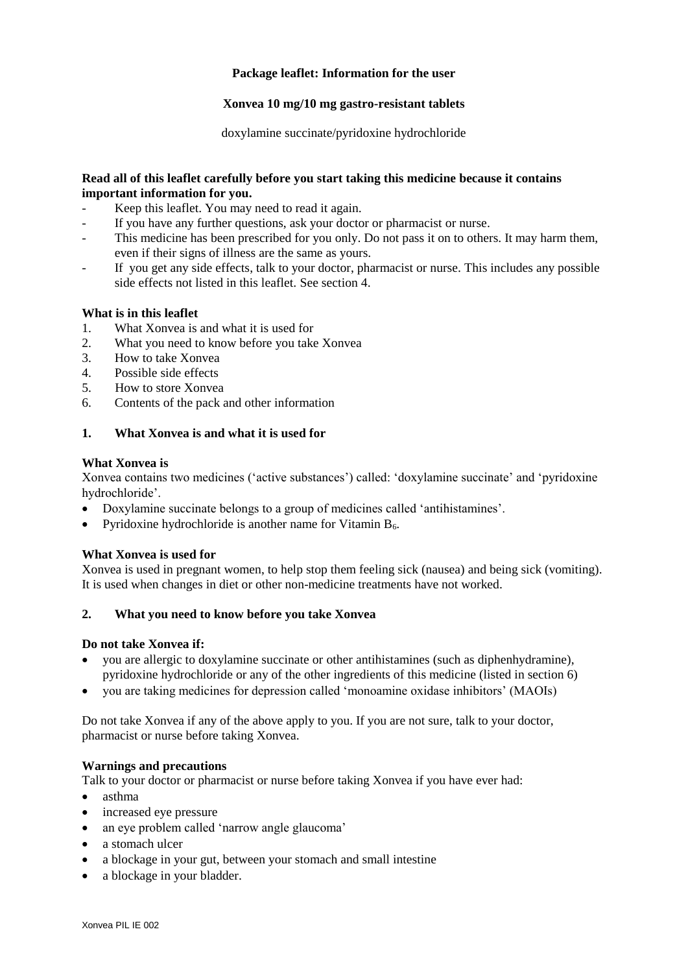## **Package leaflet: Information for the user**

## **Xonvea 10 mg/10 mg gastro-resistant tablets**

doxylamine succinate/pyridoxine hydrochloride

## **Read all of this leaflet carefully before you start taking this medicine because it contains important information for you.**

- Keep this leaflet. You may need to read it again.
- If you have any further questions, ask your doctor or pharmacist or nurse.
- This medicine has been prescribed for you only. Do not pass it on to others. It may harm them, even if their signs of illness are the same as yours.
- If you get any side effects, talk to your doctor, pharmacist or nurse. This includes any possible side effects not listed in this leaflet. See section 4.

## **What is in this leaflet**

- 1. What Xonvea is and what it is used for
- 2. What you need to know before you take Xonvea
- 3. How to take Xonvea
- 4. Possible side effects
- 5. How to store Xonvea
- 6. Contents of the pack and other information

## **1. What Xonvea is and what it is used for**

## **What Xonvea is**

Xonvea contains two medicines ('active substances') called: 'doxylamine succinate' and 'pyridoxine hydrochloride'.

- Doxylamine succinate belongs to a group of medicines called 'antihistamines'.
- Pyridoxine hydrochloride is another name for Vitamin  $B_6$ .

## **What Xonvea is used for**

Xonvea is used in pregnant women, to help stop them feeling sick (nausea) and being sick (vomiting). It is used when changes in diet or other non-medicine treatments have not worked.

## **2. What you need to know before you take Xonvea**

## **Do not take Xonvea if:**

- you are allergic to doxylamine succinate or other antihistamines (such as diphenhydramine), pyridoxine hydrochloride or any of the other ingredients of this medicine (listed in section 6)
- you are taking medicines for depression called 'monoamine oxidase inhibitors' (MAOIs)

Do not take Xonvea if any of the above apply to you. If you are not sure, talk to your doctor, pharmacist or nurse before taking Xonvea.

## **Warnings and precautions**

Talk to your doctor or pharmacist or nurse before taking Xonvea if you have ever had:

- asthma
- increased eye pressure
- an eye problem called 'narrow angle glaucoma'
- a stomach ulcer
- a blockage in your gut, between your stomach and small intestine
- a blockage in your bladder.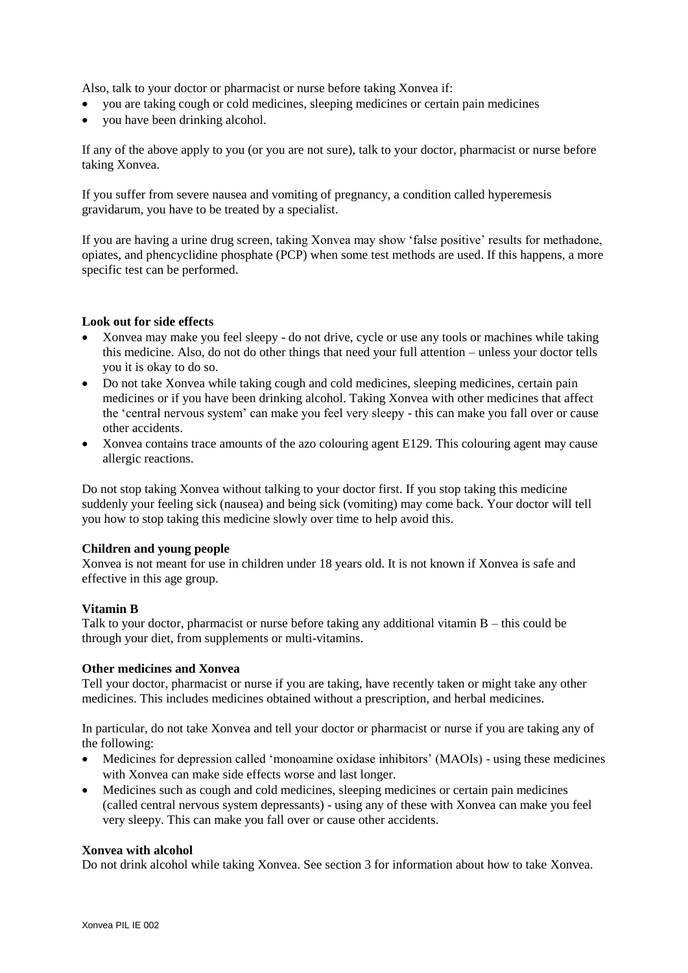Also, talk to your doctor or pharmacist or nurse before taking Xonvea if:

- you are taking cough or cold medicines, sleeping medicines or certain pain medicines
- you have been drinking alcohol.

If any of the above apply to you (or you are not sure), talk to your doctor, pharmacist or nurse before taking Xonvea.

If you suffer from severe nausea and vomiting of pregnancy, a condition called hyperemesis gravidarum, you have to be treated by a specialist.

If you are having a urine drug screen, taking Xonvea may show 'false positive' results for methadone, opiates, and phencyclidine phosphate (PCP) when some test methods are used. If this happens, a more specific test can be performed.

## **Look out for side effects**

- Xonvea may make you feel sleepy do not drive, cycle or use any tools or machines while taking this medicine. Also, do not do other things that need your full attention – unless your doctor tells you it is okay to do so.
- Do not take Xonvea while taking cough and cold medicines, sleeping medicines, certain pain medicines or if you have been drinking alcohol. Taking Xonvea with other medicines that affect the 'central nervous system' can make you feel very sleepy - this can make you fall over or cause other accidents.
- Xonvea contains trace amounts of the azo colouring agent E129. This colouring agent may cause allergic reactions.

Do not stop taking Xonvea without talking to your doctor first. If you stop taking this medicine suddenly your feeling sick (nausea) and being sick (vomiting) may come back. Your doctor will tell you how to stop taking this medicine slowly over time to help avoid this.

## **Children and young people**

Xonvea is not meant for use in children under 18 years old. It is not known if Xonvea is safe and effective in this age group.

# **Vitamin B**

Talk to your doctor, pharmacist or nurse before taking any additional vitamin B – this could be through your diet, from supplements or multi-vitamins.

## **Other medicines and Xonvea**

Tell your doctor, pharmacist or nurse if you are taking, have recently taken or might take any other medicines. This includes medicines obtained without a prescription, and herbal medicines.

In particular, do not take Xonvea and tell your doctor or pharmacist or nurse if you are taking any of the following:

- Medicines for depression called 'monoamine oxidase inhibitors' (MAOIs) using these medicines with Xonvea can make side effects worse and last longer.
- Medicines such as cough and cold medicines, sleeping medicines or certain pain medicines (called central nervous system depressants) - using any of these with Xonvea can make you feel very sleepy. This can make you fall over or cause other accidents.

## **Xonvea with alcohol**

Do not drink alcohol while taking Xonvea. See section 3 for information about how to take Xonvea.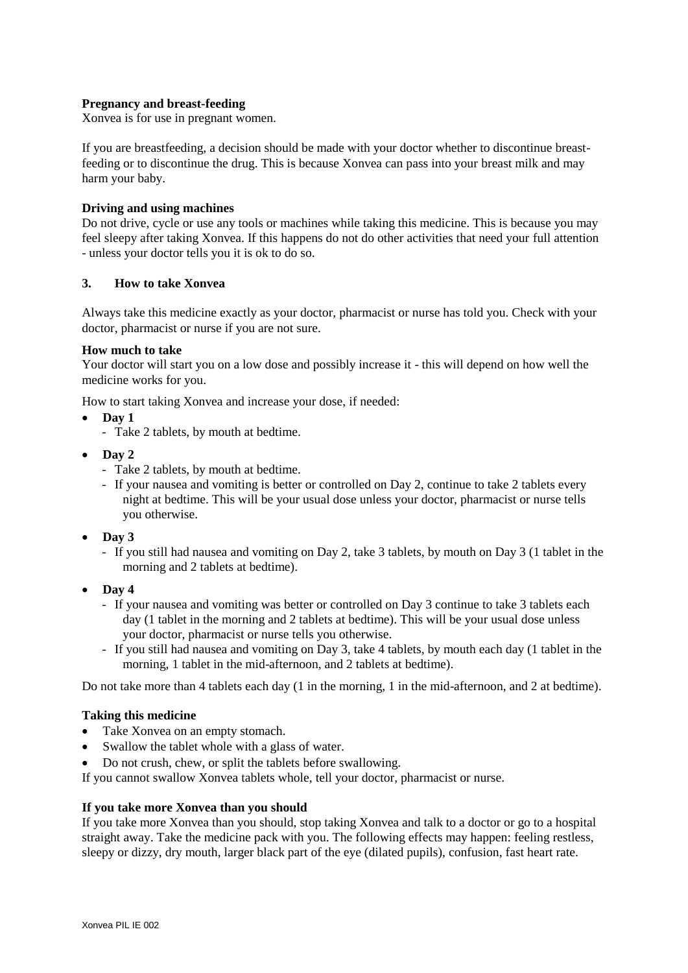## **Pregnancy and breast-feeding**

Xonvea is for use in pregnant women.

If you are breastfeeding, a decision should be made with your doctor whether to discontinue breastfeeding or to discontinue the drug. This is because Xonvea can pass into your breast milk and may harm your baby.

### **Driving and using machines**

Do not drive, cycle or use any tools or machines while taking this medicine. This is because you may feel sleepy after taking Xonvea. If this happens do not do other activities that need your full attention - unless your doctor tells you it is ok to do so.

### **3. How to take Xonvea**

Always take this medicine exactly as your doctor, pharmacist or nurse has told you. Check with your doctor, pharmacist or nurse if you are not sure.

### **How much to take**

Your doctor will start you on a low dose and possibly increase it - this will depend on how well the medicine works for you.

How to start taking Xonvea and increase your dose, if needed:

- **Day 1**
	- Take 2 tablets, by mouth at bedtime.
- $\bullet$  Day 2
	- Take 2 tablets, by mouth at bedtime.
	- If your nausea and vomiting is better or controlled on Day 2, continue to take 2 tablets every night at bedtime. This will be your usual dose unless your doctor, pharmacist or nurse tells you otherwise.
- **Day 3**
	- If you still had nausea and vomiting on Day 2, take 3 tablets, by mouth on Day 3 (1 tablet in the morning and 2 tablets at bedtime).
- **Day 4**
	- If your nausea and vomiting was better or controlled on Day 3 continue to take 3 tablets each day (1 tablet in the morning and 2 tablets at bedtime). This will be your usual dose unless your doctor, pharmacist or nurse tells you otherwise.
	- If you still had nausea and vomiting on Day 3, take 4 tablets, by mouth each day (1 tablet in the morning, 1 tablet in the mid-afternoon, and 2 tablets at bedtime).

Do not take more than 4 tablets each day (1 in the morning, 1 in the mid-afternoon, and 2 at bedtime).

#### **Taking this medicine**

- Take Xonvea on an empty stomach.
- Swallow the tablet whole with a glass of water.
- Do not crush, chew, or split the tablets before swallowing.

If you cannot swallow Xonvea tablets whole, tell your doctor, pharmacist or nurse.

#### **If you take more Xonvea than you should**

If you take more Xonvea than you should, stop taking Xonvea and talk to a doctor or go to a hospital straight away. Take the medicine pack with you. The following effects may happen: feeling restless, sleepy or dizzy, dry mouth, larger black part of the eye (dilated pupils), confusion, fast heart rate.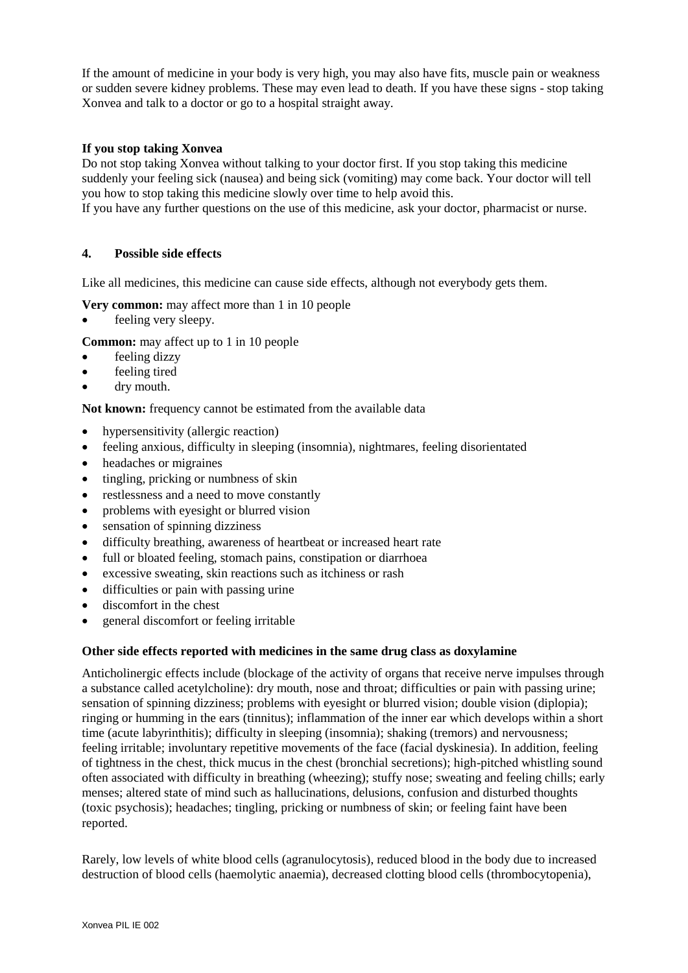If the amount of medicine in your body is very high, you may also have fits, muscle pain or weakness or sudden severe kidney problems. These may even lead to death. If you have these signs - stop taking Xonvea and talk to a doctor or go to a hospital straight away.

## **If you stop taking Xonvea**

Do not stop taking Xonvea without talking to your doctor first. If you stop taking this medicine suddenly your feeling sick (nausea) and being sick (vomiting) may come back. Your doctor will tell you how to stop taking this medicine slowly over time to help avoid this.

If you have any further questions on the use of this medicine, ask your doctor, pharmacist or nurse.

## **4. Possible side effects**

Like all medicines, this medicine can cause side effects, although not everybody gets them.

- **Very common:** may affect more than 1 in 10 people
- feeling very sleepy.
- **Common:** may affect up to 1 in 10 people
- feeling dizzy
- feeling tired
- dry mouth.

**Not known:** frequency cannot be estimated from the available data

- hypersensitivity (allergic reaction)
- feeling anxious, difficulty in sleeping (insomnia), nightmares, feeling disorientated
- headaches or migraines
- $\bullet$  tingling, pricking or numbness of skin
- restlessness and a need to move constantly
- problems with eyesight or blurred vision
- sensation of spinning dizziness
- difficulty breathing, awareness of heartbeat or increased heart rate
- full or bloated feeling, stomach pains, constipation or diarrhoea
- excessive sweating, skin reactions such as itchiness or rash
- difficulties or pain with passing urine
- discomfort in the chest
- general discomfort or feeling irritable

## **Other side effects reported with medicines in the same drug class as doxylamine**

Anticholinergic effects include (blockage of the activity of organs that receive nerve impulses through a substance called acetylcholine): dry mouth, nose and throat; difficulties or pain with passing urine; sensation of spinning dizziness; problems with eyesight or blurred vision; double vision (diplopia); ringing or humming in the ears (tinnitus); inflammation of the inner ear which develops within a short time (acute labyrinthitis); difficulty in sleeping (insomnia); shaking (tremors) and nervousness; feeling irritable; involuntary repetitive movements of the face (facial dyskinesia). In addition, feeling of tightness in the chest, thick mucus in the chest (bronchial secretions); high-pitched whistling sound often associated with difficulty in breathing (wheezing); stuffy nose; sweating and feeling chills; early menses; altered state of mind such as hallucinations, delusions, confusion and disturbed thoughts (toxic psychosis); headaches; tingling, pricking or numbness of skin; or feeling faint have been reported.

Rarely, low levels of white blood cells (agranulocytosis), reduced blood in the body due to increased destruction of blood cells (haemolytic anaemia), decreased clotting blood cells (thrombocytopenia),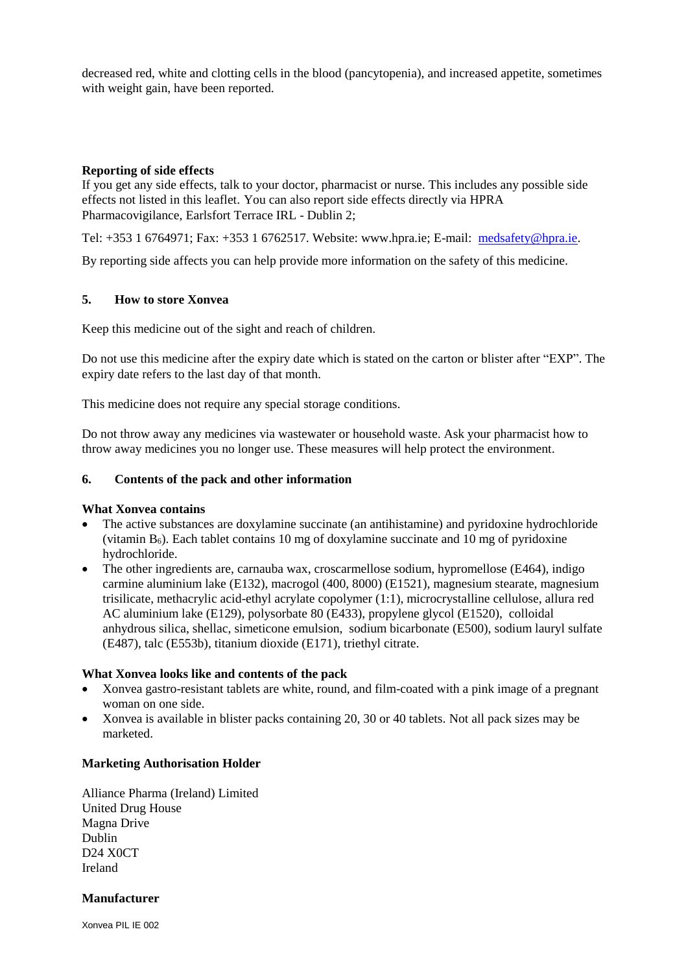decreased red, white and clotting cells in the blood (pancytopenia), and increased appetite, sometimes with weight gain, have been reported.

## **Reporting of side effects**

If you get any side effects, talk to your doctor, pharmacist or nurse. This includes any possible side effects not listed in this leaflet. You can also report side effects directly via HPRA Pharmacovigilance, Earlsfort Terrace IRL - Dublin 2;

Tel: +353 1 6764971; Fax: +353 1 6762517. Website: www.hpra.ie; E-mail: [medsafety@hpra.ie.](mailto:medsafety@hpra.ie)

By reporting side affects you can help provide more information on the safety of this medicine.

## **5. How to store Xonvea**

Keep this medicine out of the sight and reach of children.

Do not use this medicine after the expiry date which is stated on the carton or blister after "EXP". The expiry date refers to the last day of that month.

This medicine does not require any special storage conditions.

Do not throw away any medicines via wastewater or household waste. Ask your pharmacist how to throw away medicines you no longer use. These measures will help protect the environment.

## **6. Contents of the pack and other information**

## **What Xonvea contains**

- The active substances are doxylamine succinate (an antihistamine) and pyridoxine hydrochloride (vitamin  $B_6$ ). Each tablet contains 10 mg of doxylamine succinate and 10 mg of pyridoxine hydrochloride.
- The other ingredients are, carnauba wax, croscarmellose sodium, hypromellose (E464), indigo carmine aluminium lake (E132), macrogol (400, 8000) (E1521), magnesium stearate, magnesium trisilicate, methacrylic acid-ethyl acrylate copolymer (1:1), microcrystalline cellulose, allura red AC aluminium lake (E129), polysorbate 80 (E433), propylene glycol (E1520), colloidal anhydrous silica, shellac, simeticone emulsion, sodium bicarbonate (E500), sodium lauryl sulfate (E487), talc (E553b), titanium dioxide (E171), triethyl citrate.

## **What Xonvea looks like and contents of the pack**

- Xonvea gastro-resistant tablets are white, round, and film-coated with a pink image of a pregnant woman on one side.
- Xonvea is available in blister packs containing 20, 30 or 40 tablets. Not all pack sizes may be marketed.

# **Marketing Authorisation Holder**

Alliance Pharma (Ireland) Limited United Drug House Magna Drive Dublin D24 X0CT Ireland

## **Manufacturer**

Xonvea PIL IE 002